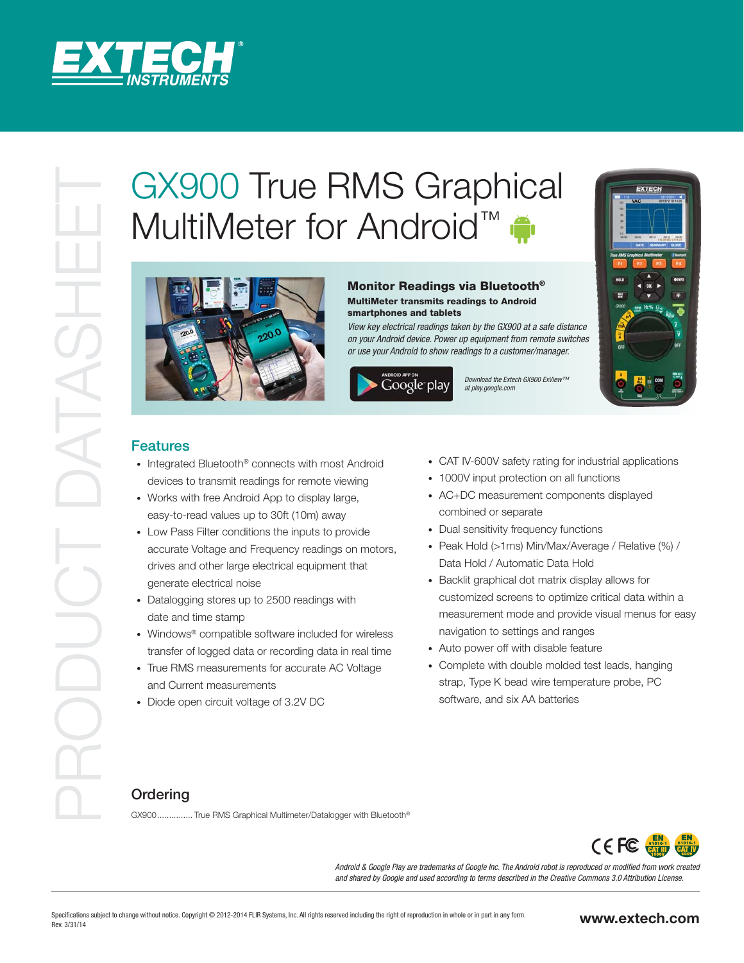

# **PRODUCTIVE RMS Graphical**<br>
MultiMeter for Android<sup>TM</sup><br> **MultiMeter schiff of Android**<sup>TM</sup><br> **MultiMeter schiff of Android**<br> **MultiMeter schiff of android consistent materials and all bluetooth<sup>4</sup><br>
<b>MultiMeter schiff of an** MultiMeter for Android<sup>™</sup>



# Monitor Readings via Bluetooth®

MultiMeter transmits readings to Android smartphones and tablets

View key electrical readings taken by the GX900 at a safe distance on your Android device. Power up equipment from remote switches or use your Android to show readings to a customer/manager.

Download the Extech GX900 ExView™ at play.google.com



## **Features**

- Integrated Bluetooth<sup>®</sup> connects with most Android devices to transmit readings for remote viewing
- Works with free Android App to display large, easy-to-read values up to 30ft (10m) away
- Low Pass Filter conditions the inputs to provide accurate Voltage and Frequency readings on motors, drives and other large electrical equipment that generate electrical noise
- Datalogging stores up to 2500 readings with date and time stamp
- Windows® compatible software included for wireless transfer of logged data or recording data in real time
- True RMS measurements for accurate AC Voltage and Current measurements
- Diode open circuit voltage of 3.2V DC
- CAT IV-600V safety rating for industrial applications
- 1000V input protection on all functions
- AC+DC measurement components displayed combined or separate
- Dual sensitivity frequency functions
- Peak Hold (>1ms) Min/Max/Average / Relative (%) / Data Hold / Automatic Data Hold
- Backlit graphical dot matrix display allows for customized screens to optimize critical data within a measurement mode and provide visual menus for easy navigation to settings and ranges
- Auto power off with disable feature
- Complete with double molded test leads, hanging strap, Type K bead wire temperature probe, PC software, and six AA batteries

# **Ordering**

GX900 ............... True RMS Graphical Multimeter/Datalogger with Bluetooth®



Android & Google Play are trademarks of Google Inc. The Android robot is reproduced or modified from work created and shared by Google and used according to terms described in the Creative Commons 3.0 Attribution License.

### www.extech.com